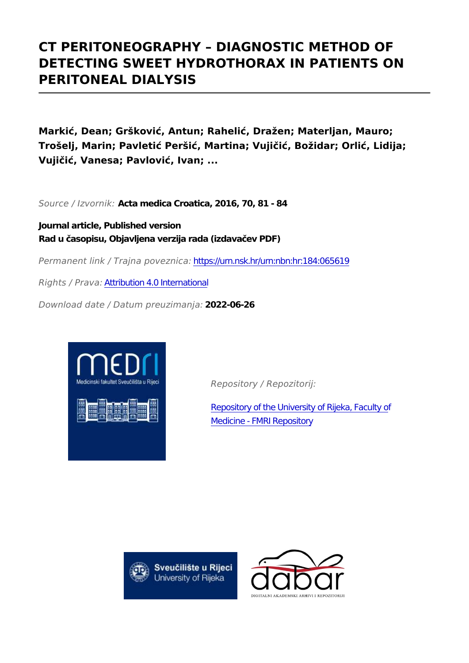# **CT PERITONEOGRAPHY – DIAGNOSTIC METHOD OF DETECTING SWEET HYDROTHORAX IN PATIENTS ON PERITONEAL DIALYSIS**

**Markić, Dean; Gršković, Antun; Rahelić, Dražen; Materljan, Mauro; Trošelj, Marin; Pavletić Peršić, Martina; Vujičić, Božidar; Orlić, Lidija; Vujičić, Vanesa; Pavlović, Ivan; ...**

*Source / Izvornik:* **Acta medica Croatica, 2016, 70, 81 - 84**

**Journal article, Published version Rad u časopisu, Objavljena verzija rada (izdavačev PDF)**

*Permanent link / Trajna poveznica:* <https://urn.nsk.hr/urn:nbn:hr:184:065619>

*Rights / Prava:* [Attribution 4.0 International](http://creativecommons.org/licenses/by/4.0/)

*Download date / Datum preuzimanja:* **2022-06-26**



*Repository / Repozitorij:*

[Repository of the University of Rijeka, Faculty of](https://repository.medri.uniri.hr) [Medicine - FMRI Repository](https://repository.medri.uniri.hr)



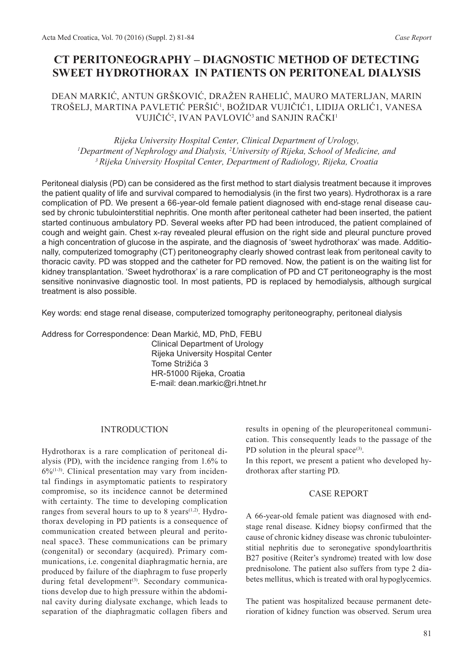# **CT PERITONEOGRAPHY – DIAGNOSTIC METHOD OF DETECTING SWEET HYDROTHORAX IN PATIENTS ON PERITONEAL DIALYSIS**

## DEAN MARKIć, ANTuN GRšKOVIć, DRAŽEN RAHELIć, MAuRO MATERLJAN, MARIN TROšELJ, MARTINA PAVLETIć PERšIć<sup>1</sup> , BOŽIDAR VuJIčIć1, LIDIJA ORLIć1, VANESA VUJIČIĆ<sup>2</sup>, IVAN PAVLOVIĆ<sup>3</sup> and SANJIN RAČKI<sup>1</sup>

### *Rijeka University Hospital Center, Clinical Department of Urology, <sup>1</sup>Department of Nephrology and Dialysis, <sup>2</sup>University of Rijeka, School of Medicine, and <sup>3</sup>Rijeka University Hospital Center, Department of Radiology, Rijeka, Croatia*

Peritoneal dialysis (PD) can be considered as the first method to start dialysis treatment because it improves the patient quality of life and survival compared to hemodialysis (in the first two years). Hydrothorax is a rare complication of PD. We present a 66-year-old female patient diagnosed with end-stage renal disease caused by chronic tubulointerstitial nephritis. One month after peritoneal catheter had been inserted, the patient started continuous ambulatory PD. Several weeks after PD had been introduced, the patient complained of cough and weight gain. Chest x-ray revealed pleural effusion on the right side and pleural puncture proved a high concentration of glucose in the aspirate, and the diagnosis of 'sweet hydrothorax' was made. Additionally, computerized tomography (CT) peritoneography clearly showed contrast leak from peritoneal cavity to thoracic cavity. PD was stopped and the catheter for PD removed. Now, the patient is on the waiting list for kidney transplantation. 'Sweet hydrothorax' is a rare complication of PD and CT peritoneography is the most sensitive noninvasive diagnostic tool. In most patients, PD is replaced by hemodialysis, although surgical treatment is also possible.

Key words: end stage renal disease, computerized tomography peritoneography, peritoneal dialysis

Address for Correspondence: Dean Markić, MD, PhD, FEBU Clinical Department of Urology Rijeka University Hospital Center Tome Strižića 3 HR-51000 Rijeka, Croatia E-mail: dean.markic@ri.htnet.hr

#### **INTRODUCTION**

Hydrothorax is a rare complication of peritoneal dialysis (PD), with the incidence ranging from 1.6% to  $6\%$ <sup>(1-3)</sup>. Clinical presentation may vary from incidental findings in asymptomatic patients to respiratory compromise, so its incidence cannot be determined with certainty. The time to developing complication ranges from several hours to up to 8 years<sup> $(1,2)$ </sup>. Hydrothorax developing in PD patients is a consequence of communication created between pleural and peritoneal space3. These communications can be primary (congenital) or secondary (acquired). Primary communications, i.e. congenital diaphragmatic hernia, are produced by failure of the diaphragm to fuse properly during fetal development<sup>(3)</sup>. Secondary communications develop due to high pressure within the abdominal cavity during dialysate exchange, which leads to separation of the diaphragmatic collagen fibers and

results in opening of the pleuroperitoneal communication. This consequently leads to the passage of the PD solution in the pleural space $(3)$ .

In this report, we present a patient who developed hydrothorax after starting PD.

#### CASE REPORT

A 66-year-old female patient was diagnosed with endstage renal disease. Kidney biopsy confirmed that the cause of chronic kidney disease was chronic tubulointerstitial nephritis due to seronegative spondyloarthritis B27 positive (Reiter's syndrome) treated with low dose prednisolone. The patient also suffers from type 2 diabetes mellitus, which is treated with oral hypoglycemics.

The patient was hospitalized because permanent deterioration of kidney function was observed. Serum urea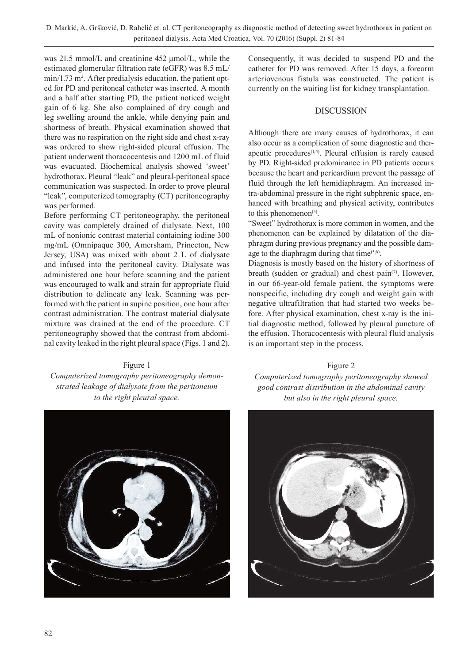was 21.5 mmol/L and creatinine 452 μmol/L, while the estimated glomerular filtration rate (eGFR) was 8.5 mL/ min/1.73 m<sup>2</sup>. After predialysis education, the patient opted for PD and peritoneal catheter was inserted. A month and a half after starting PD, the patient noticed weight gain of 6 kg. She also complained of dry cough and leg swelling around the ankle, while denying pain and shortness of breath. Physical examination showed that there was no respiration on the right side and chest x-ray was ordered to show right-sided pleural effusion. The patient underwent thoracocentesis and 1200 mL of fluid was evacuated. Biochemical analysis showed 'sweet' hydrothorax. Pleural "leak" and pleural-peritoneal space communication was suspected. In order to prove pleural "leak", computerized tomography (CT) peritoneography was performed.

Before performing CT peritoneography, the peritoneal cavity was completely drained of dialysate. Next, 100 mL of nonionic contrast material containing iodine 300 mg/mL (Omnipaque 300, Amersham, Princeton, New Jersey, uSA) was mixed with about 2 L of dialysate and infused into the peritoneal cavity. Dialysate was administered one hour before scanning and the patient was encouraged to walk and strain for appropriate fluid distribution to delineate any leak. Scanning was performed with the patient in supine position, one hour after contrast administration. The contrast material dialysate mixture was drained at the end of the procedure. CT peritoneography showed that the contrast from abdominal cavity leaked in the right pleural space (Figs. 1 and 2).

#### Figure 1

*Computerized tomography peritoneography demonstrated leakage of dialysate from the peritoneum to the right pleural space.*



Consequently, it was decided to suspend PD and the catheter for PD was removed. After 15 days, a forearm arteriovenous fistula was constructed. The patient is currently on the waiting list for kidney transplantation.

### **DISCUSSION**

Although there are many causes of hydrothorax, it can also occur as a complication of some diagnostic and therapeutic procedures $(1,4)$ . Pleural effusion is rarely caused by PD. Right-sided predominance in PD patients occurs because the heart and pericardium prevent the passage of fluid through the left hemidiaphragm. An increased intra-abdominal pressure in the right subphrenic space, enhanced with breathing and physical activity, contributes to this phenomenon<sup> $(5)$ </sup>.

"Sweet" hydrothorax is more common in women, and the phenomenon can be explained by dilatation of the diaphragm during previous pregnancy and the possible damage to the diaphragm during that time $(5,6)$ .

Diagnosis is mostly based on the history of shortness of breath (sudden or gradual) and chest  $\text{pain}^{(7)}$ . However, in our 66-year-old female patient, the symptoms were nonspecific, including dry cough and weight gain with negative ultrafiltration that had started two weeks before. After physical examination, chest x-ray is the initial diagnostic method, followed by pleural puncture of the effusion. Thoracocentesis with pleural fluid analysis is an important step in the process.

Figure 2 *Computerized tomography peritoneography showed good contrast distribution in the abdominal cavity but also in the right pleural space.*

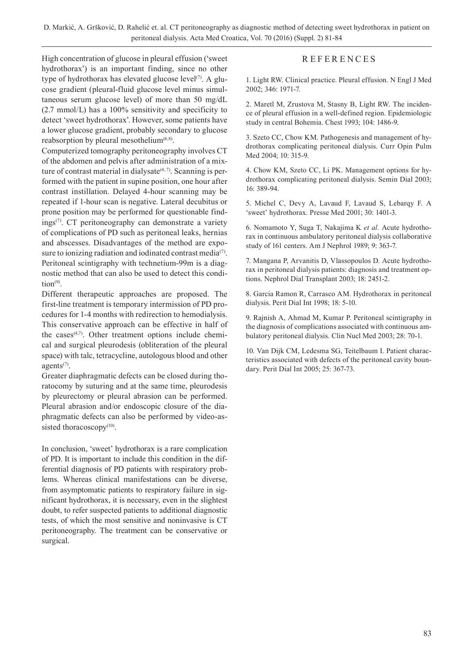### **REFERENCES**

High concentration of glucose in pleural effusion ('sweet hydrothorax') is an important finding, since no other type of hydrothorax has elevated glucose level $(7)$ . A glucose gradient (pleural-fluid glucose level minus simultaneous serum glucose level) of more than 50 mg/dL (2.7 mmol/L) has a 100% sensitivity and specificity to detect 'sweet hydrothorax'. However, some patients have a lower glucose gradient, probably secondary to glucose reabsorption by pleural mesothelium $(6,8)$ .

Computerized tomography peritoneography involves CT of the abdomen and pelvis after administration of a mixture of contrast material in dialysate $(4, 7)$ . Scanning is performed with the patient in supine position, one hour after contrast instillation. Delayed 4-hour scanning may be repeated if 1-hour scan is negative. Lateral decubitus or prone position may be performed for questionable findings<sup>(7)</sup>. CT peritoneography can demonstrate a variety of complications of PD such as peritoneal leaks, hernias and abscesses. Disadvantages of the method are exposure to ionizing radiation and iodinated contrast media $(7)$ . Peritoneal scintigraphy with technetium-99m is a diagnostic method that can also be used to detect this condi- $\text{tion}^{(9)}$ .

Different therapeutic approaches are proposed. The first-line treatment is temporary intermission of PD procedures for 1-4 months with redirection to hemodialysis. This conservative approach can be effective in half of the cases $(4,7)$ . Other treatment options include chemical and surgical pleurodesis (obliteration of the pleural space) with talc, tetracycline, autologous blood and other agents<sup>(7)</sup>.

Greater diaphragmatic defects can be closed during thoratocomy by suturing and at the same time, pleurodesis by pleurectomy or pleural abrasion can be performed. Pleural abrasion and/or endoscopic closure of the diaphragmatic defects can also be performed by video-assisted thoracoscopy $(10)$ .

In conclusion, 'sweet' hydrothorax is a rare complication of PD. It is important to include this condition in the differential diagnosis of PD patients with respiratory problems. Whereas clinical manifestations can be diverse, from asymptomatic patients to respiratory failure in significant hydrothorax, it is necessary, even in the slightest doubt, to refer suspected patients to additional diagnostic tests, of which the most sensitive and noninvasive is CT peritoneography. The treatment can be conservative or surgical.

1. Light RW. Clinical practice. Pleural effusion. N Engl J Med 2002; 346: 1971-7.

2. Maretl M, Zrustova M, Stasny B, Light RW. The incidence of pleural effusion in a well-defined region. Epidemiologic study in central Bohemia. Chest 1993; 104: 1486-9.

3. Szeto CC, Chow KM. Pathogenesis and management of hydrothorax complicating peritoneal dialysis. Curr Opin Pulm Med 2004; 10: 315-9.

4. Chow KM, Szeto CC, Li PK. Management options for hydrothorax complicating peritoneal dialysis. Semin Dial 2003; 16: 389-94.

5. Michel C, Devy A, Lavaud F, Lavaud S, Lebarqy F. A 'sweet' hydrothorax. Presse Med 2001; 30: 1401-3.

6. Nomamoto Y, Suga T, Nakajima K *et al.* Acute hydrothorax in continuous ambulatory peritoneal dialysis collaborative study of 161 centers. Am J Nephrol 1989; 9: 363-7.

7. Mangana P, Arvanitis D, Vlassopoulos D. Acute hydrothorax in peritoneal dialysis patients: diagnosis and treatment options. Nephrol Dial Transplant 2003; 18: 2451-2.

8. Garcia Ramon R, Carrasco AM. Hydrothorax in peritoneal dialysis. Perit Dial Int 1998; 18: 5-10.

9. Rajnish A, Ahmad M, Kumar P. Peritoneal scintigraphy in the diagnosis of complications associated with continuous ambulatory peritoneal dialysis. Clin Nucl Med 2003; 28: 70-1.

10. Van Dijk CM, Ledesma SG, Teitelbaum I. Patient characteristics associated with defects of the peritoneal cavity boundary. Perit Dial Int 2005; 25: 367-73.